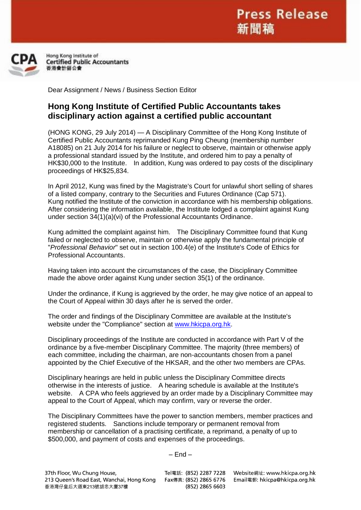

Hong Kong Institute of **Certified Public Accountants** 香港會計師公會

Dear Assignment / News / Business Section Editor

## **Hong Kong Institute of Certified Public Accountants takes disciplinary action against a certified public accountant**

(HONG KONG, 29 July 2014) — A Disciplinary Committee of the Hong Kong Institute of Certified Public Accountants reprimanded Kung Ping Cheung (membership number A18085) on 21 July 2014 for his failure or neglect to observe, maintain or otherwise apply a professional standard issued by the Institute, and ordered him to pay a penalty of HK\$30,000 to the Institute. In addition, Kung was ordered to pay costs of the disciplinary proceedings of HK\$25,834.

In April 2012, Kung was fined by the Magistrate's Court for unlawful short selling of shares of a listed company, contrary to the Securities and Futures Ordinance (Cap 571). Kung notified the Institute of the conviction in accordance with his membership obligations. After considering the information available, the Institute lodged a complaint against Kung under section 34(1)(a)(vi) of the Professional Accountants Ordinance.

Kung admitted the complaint against him. The Disciplinary Committee found that Kung failed or neglected to observe, maintain or otherwise apply the fundamental principle of "*Professional Behavior*" set out in section 100.4(e) of the Institute's Code of Ethics for Professional Accountants.

Having taken into account the circumstances of the case, the Disciplinary Committee made the above order against Kung under section 35(1) of the ordinance.

Under the ordinance, if Kung is aggrieved by the order, he may give notice of an appeal to the Court of Appeal within 30 days after he is served the order.

The order and findings of the Disciplinary Committee are available at the Institute's website under the "Compliance" section at [www.hkicpa.org.hk.](http://www.hkicpa.org.hk/)

Disciplinary proceedings of the Institute are conducted in accordance with Part V of the ordinance by a five-member Disciplinary Committee. The majority (three members) of each committee, including the chairman, are non-accountants chosen from a panel appointed by the Chief Executive of the HKSAR, and the other two members are CPAs.

Disciplinary hearings are held in public unless the Disciplinary Committee directs otherwise in the interests of justice. A hearing schedule is available at the Institute's website. A CPA who feels aggrieved by an order made by a Disciplinary Committee may appeal to the Court of Appeal, which may confirm, vary or reverse the order.

The Disciplinary Committees have the power to sanction members, member practices and registered students. Sanctions include temporary or permanent removal from membership or cancellation of a practising certificate, a reprimand, a penalty of up to \$500,000, and payment of costs and expenses of the proceedings.

## $-$  End  $-$

37th Floor, Wu Chung House, 213 Queen's Road East, Wanchai, Hong Kong 香港灣仔皇后大道東213號胡忠大廈37樓

Fax傳真: (852) 2865 6776 (852) 2865 6603

Tel電話: (852) 2287 7228 Website網址: www.hkicpa.org.hk Email電郵: hkicpa@hkicpa.org.hk